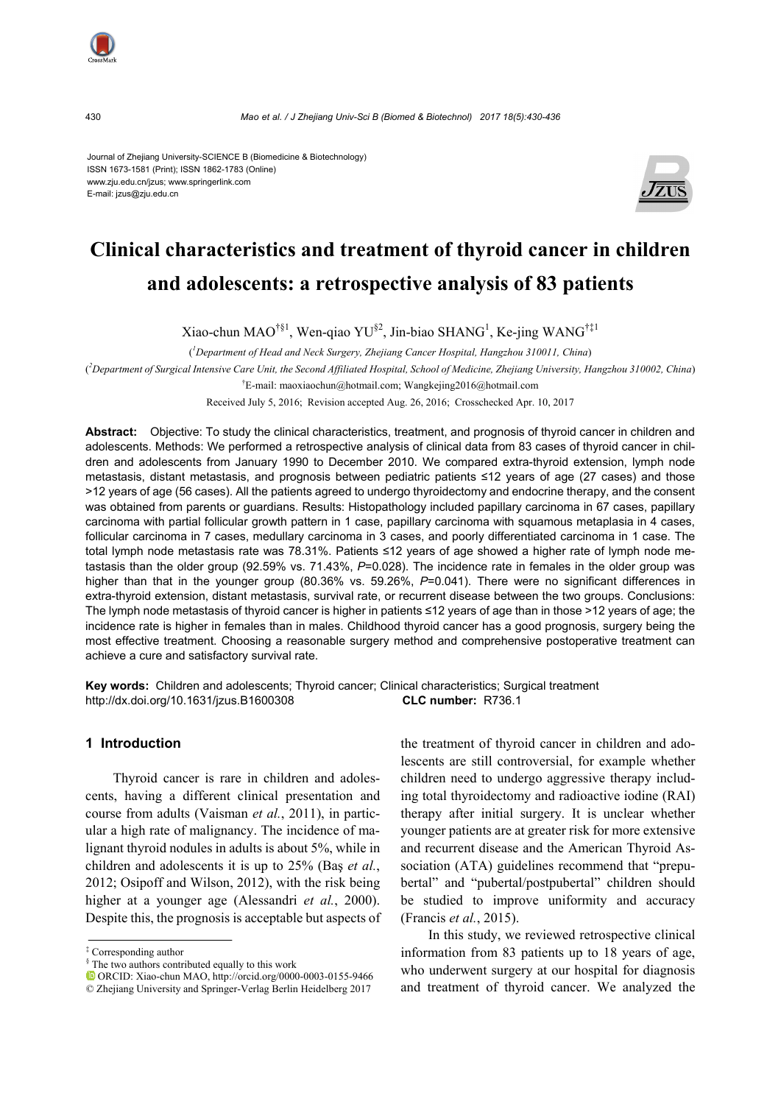

430 *Mao et al. / J Zhejiang Univ-Sci B (Biomed & Biotechnol) 2017 18(5):430-436*

Journal of Zhejiang University-SCIENCE B (Biomedicine & Biotechnology) ISSN 1673-1581 (Print); ISSN 1862-1783 (Online) www.zju.edu.cn/jzus; www.springerlink.com E-mail: jzus@zju.edu.cn



# **Clinical characteristics and treatment of thyroid cancer in children and adolescents: a retrospective analysis of 83 patients**

Xiao-chun MAO<sup>†§1</sup>, Wen-qiao YU<sup>§2</sup>, Jin-biao SHANG<sup>1</sup>, Ke-jing WANG<sup>†‡1</sup>

( *1 Department of Head and Neck Surgery, Zhejiang Cancer Hospital, Hangzhou 310011, China*)

( *2 Department of Surgical Intensive Care Unit, the Second Affiliated Hospital, School of Medicine, Zhejiang University, Hangzhou 310002, China*)

† E-mail: maoxiaochun@hotmail.com; Wangkejing2016@hotmail.com

Received July 5, 2016; Revision accepted Aug. 26, 2016; Crosschecked Apr. 10, 2017

**Abstract:** Objective: To study the clinical characteristics, treatment, and prognosis of thyroid cancer in children and adolescents. Methods: We performed a retrospective analysis of clinical data from 83 cases of thyroid cancer in children and adolescents from January 1990 to December 2010. We compared extra-thyroid extension, lymph node metastasis, distant metastasis, and prognosis between pediatric patients ≤12 years of age (27 cases) and those >12 years of age (56 cases). All the patients agreed to undergo thyroidectomy and endocrine therapy, and the consent was obtained from parents or guardians. Results: Histopathology included papillary carcinoma in 67 cases, papillary carcinoma with partial follicular growth pattern in 1 case, papillary carcinoma with squamous metaplasia in 4 cases, follicular carcinoma in 7 cases, medullary carcinoma in 3 cases, and poorly differentiated carcinoma in 1 case. The total lymph node metastasis rate was 78.31%. Patients ≤12 years of age showed a higher rate of lymph node metastasis than the older group (92.59% vs. 71.43%, *P*=0.028). The incidence rate in females in the older group was higher than that in the younger group (80.36% vs. 59.26%, P=0.041). There were no significant differences in extra-thyroid extension, distant metastasis, survival rate, or recurrent disease between the two groups. Conclusions: The lymph node metastasis of thyroid cancer is higher in patients ≤12 years of age than in those >12 years of age; the incidence rate is higher in females than in males. Childhood thyroid cancer has a good prognosis, surgery being the most effective treatment. Choosing a reasonable surgery method and comprehensive postoperative treatment can achieve a cure and satisfactory survival rate.

**Key words:** Children and adolescents; Thyroid cancer; Clinical characteristics; Surgical treatment http://dx.doi.org/10.1631/jzus.B1600308 **CLC number:** R736.1

## **1 Introduction**

Thyroid cancer is rare in children and adolescents, having a different clinical presentation and course from adults (Vaisman *et al.*, 2011), in particular a high rate of malignancy. The incidence of malignant thyroid nodules in adults is about 5%, while in children and adolescents it is up to 25% (Baş *et al.*, 2012; Osipoff and Wilson, 2012), with the risk being higher at a younger age (Alessandri *et al.*, 2000). Despite this, the prognosis is acceptable but aspects of the treatment of thyroid cancer in children and adolescents are still controversial, for example whether children need to undergo aggressive therapy including total thyroidectomy and radioactive iodine (RAI) therapy after initial surgery. It is unclear whether younger patients are at greater risk for more extensive and recurrent disease and the American Thyroid Association (ATA) guidelines recommend that "prepubertal" and "pubertal/postpubertal" children should be studied to improve uniformity and accuracy (Francis *et al.*, 2015).

In this study, we reviewed retrospective clinical information from 83 patients up to 18 years of age, who underwent surgery at our hospital for diagnosis and treatment of thyroid cancer. We analyzed the

<sup>‡</sup> Corresponding author

<sup>§</sup> The two authors contributed equally to this work

ORCID: Xiao-chun MAO, http://orcid.org/0000-0003-0155-9466

<sup>©</sup> Zhejiang University and Springer-Verlag Berlin Heidelberg 2017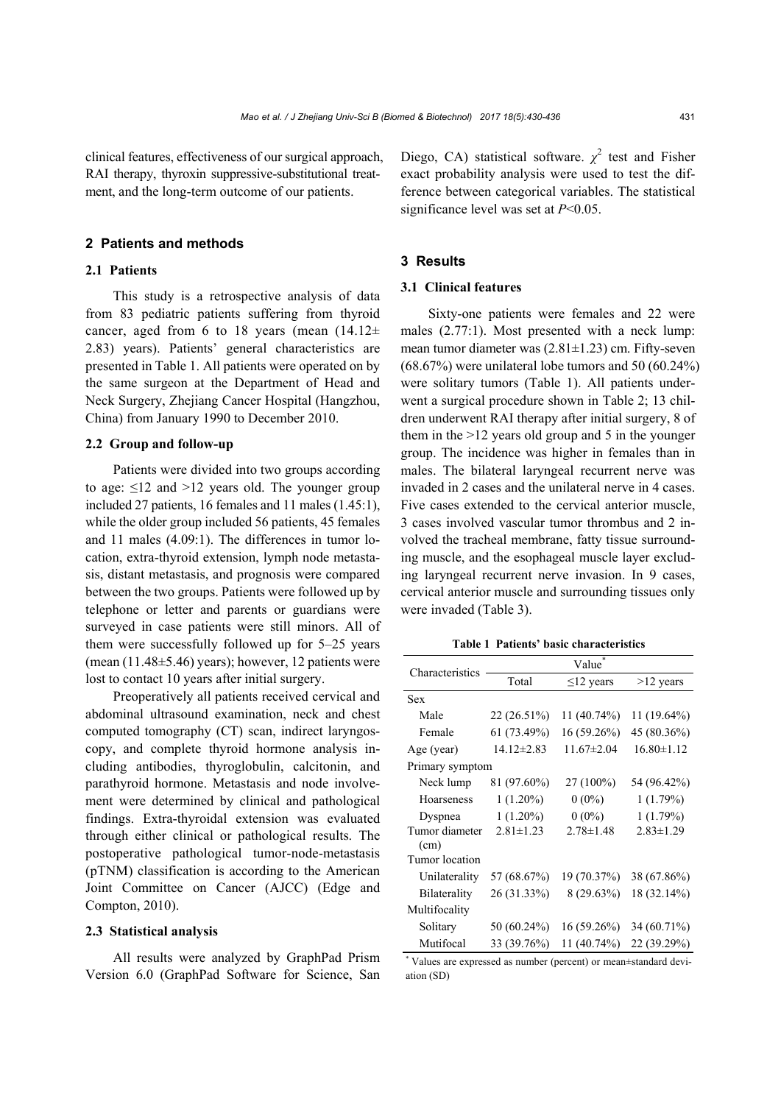clinical features, effectiveness of our surgical approach, RAI therapy, thyroxin suppressive-substitutional treatment, and the long-term outcome of our patients.

## **2 Patients and methods**

# **2.1 Patients**

This study is a retrospective analysis of data from 83 pediatric patients suffering from thyroid cancer, aged from 6 to 18 years (mean  $(14.12 \pm$ 2.83) years). Patients' general characteristics are presented in Table 1. All patients were operated on by the same surgeon at the Department of Head and Neck Surgery, Zhejiang Cancer Hospital (Hangzhou, China) from January 1990 to December 2010.

#### **2.2 Group and follow-up**

Patients were divided into two groups according to age:  $\leq 12$  and  $> 12$  years old. The younger group included 27 patients, 16 females and 11 males (1.45:1), while the older group included 56 patients, 45 females and 11 males (4.09:1). The differences in tumor location, extra-thyroid extension, lymph node metastasis, distant metastasis, and prognosis were compared between the two groups. Patients were followed up by telephone or letter and parents or guardians were surveyed in case patients were still minors. All of them were successfully followed up for 5–25 years (mean  $(11.48\pm5.46)$  years); however, 12 patients were lost to contact 10 years after initial surgery.

Preoperatively all patients received cervical and abdominal ultrasound examination, neck and chest computed tomography (CT) scan, indirect laryngoscopy, and complete thyroid hormone analysis including antibodies, thyroglobulin, calcitonin, and parathyroid hormone. Metastasis and node involvement were determined by clinical and pathological findings. Extra-thyroidal extension was evaluated through either clinical or pathological results. The postoperative pathological tumor-node-metastasis (pTNM) classification is according to the American Joint Committee on Cancer (AJCC) (Edge and Compton, 2010).

# **2.3 Statistical analysis**

All results were analyzed by GraphPad Prism Version 6.0 (GraphPad Software for Science, San

Diego, CA) statistical software.  $\chi^2$  test and Fisher exact probability analysis were used to test the difference between categorical variables. The statistical significance level was set at *P*<0.05.

# **3 Results**

# **3.1 Clinical features**

Sixty-one patients were females and 22 were males (2.77:1). Most presented with a neck lump: mean tumor diameter was (2.81±1.23) cm. Fifty-seven (68.67%) were unilateral lobe tumors and 50 (60.24%) were solitary tumors (Table 1). All patients underwent a surgical procedure shown in Table 2; 13 children underwent RAI therapy after initial surgery, 8 of them in the >12 years old group and 5 in the younger group. The incidence was higher in females than in males. The bilateral laryngeal recurrent nerve was invaded in 2 cases and the unilateral nerve in 4 cases. Five cases extended to the cervical anterior muscle, 3 cases involved vascular tumor thrombus and 2 involved the tracheal membrane, fatty tissue surrounding muscle, and the esophageal muscle layer excluding laryngeal recurrent nerve invasion. In 9 cases, cervical anterior muscle and surrounding tissues only were invaded (Table 3).

**Table 1 Patients' basic characteristics** 

| Characteristics | Value            |                  |                  |  |  |  |
|-----------------|------------------|------------------|------------------|--|--|--|
|                 | Total            | $\leq$ 12 years  | $>12$ years      |  |  |  |
| <b>Sex</b>      |                  |                  |                  |  |  |  |
| Male            | $22(26.51\%)$    | 11 (40.74%)      | 11 (19.64%)      |  |  |  |
| Female          | 61 (73.49%)      | 16 (59.26%)      | 45 (80.36%)      |  |  |  |
| Age (year)      | $14.12 \pm 2.83$ | $11.67 \pm 2.04$ | $16.80 \pm 1.12$ |  |  |  |
| Primary symptom |                  |                  |                  |  |  |  |
| Neck lump       | 81 (97.60%)      | 27 (100%)        | 54 (96.42%)      |  |  |  |
| Hoarseness      | $1(1.20\%)$      | $0(0\%)$         | 1(1.79%)         |  |  |  |
| Dyspnea         | $1(1.20\%)$      | $0(0\%)$         | 1(1.79%)         |  |  |  |
| Tumor diameter  | $2.81 \pm 1.23$  | $2.78 \pm 1.48$  | $2.83 \pm 1.29$  |  |  |  |
| (cm)            |                  |                  |                  |  |  |  |
| Tumor location  |                  |                  |                  |  |  |  |
| Unilaterality   | 57 (68.67%)      | 19 (70.37%)      | 38 (67.86%)      |  |  |  |
| Bilaterality    | 26 (31.33%)      | $8(29.63\%)$     | 18 (32.14%)      |  |  |  |
| Multifocality   |                  |                  |                  |  |  |  |
| Solitary        | 50 (60.24%)      | 16 (59.26%)      | 34 (60.71%)      |  |  |  |
| Mutifocal       | 33 (39.76%)      | 11 (40.74%)      | 22 (39.29%)      |  |  |  |

\* Values are expressed as number (percent) or mean±standard deviation (SD)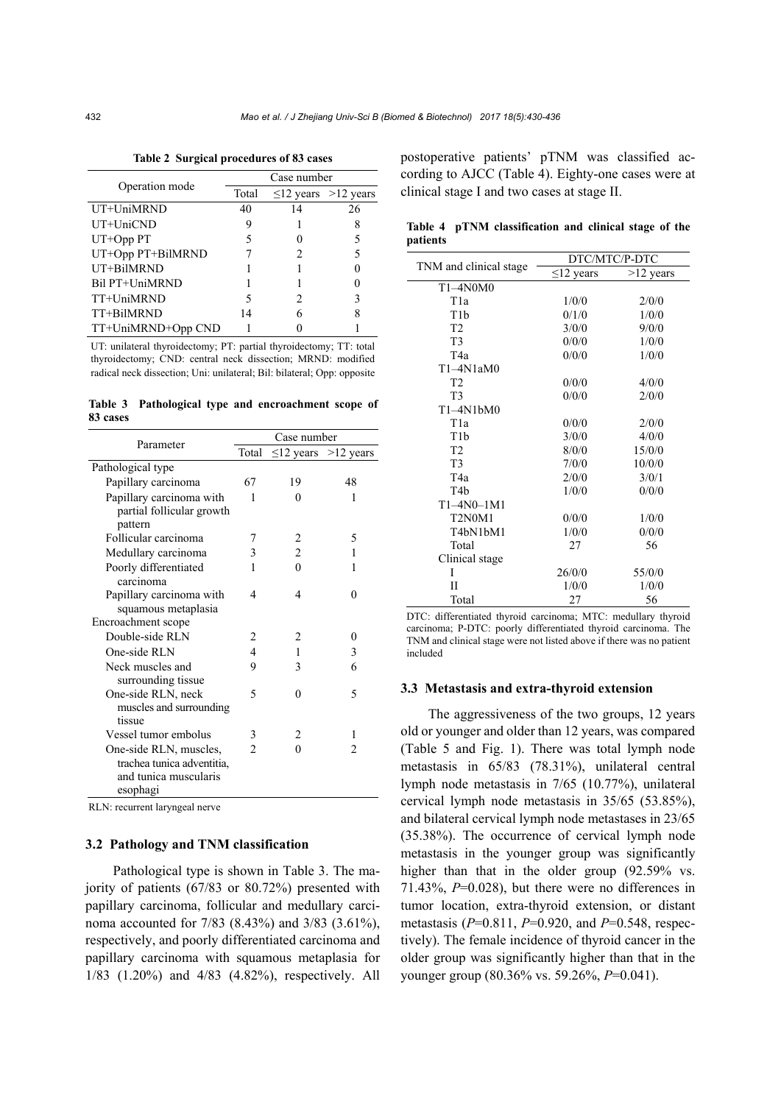|                    | Case number |    |                           |  |  |  |
|--------------------|-------------|----|---------------------------|--|--|--|
| Operation mode     | Total       |    | $\leq$ 12 years >12 years |  |  |  |
| UT+UniMRND         | 40          | 14 | 26                        |  |  |  |
| UT+UniCND          | 9           |    |                           |  |  |  |
| $UT+Opp$ $PT$      |             |    |                           |  |  |  |
| UT+Opp PT+BilMRND  |             | 2  |                           |  |  |  |
| UT+BilMRND         |             |    |                           |  |  |  |
| Bil PT+UniMRND     |             |    |                           |  |  |  |
| TT+UniMRND         |             | 2  | 3                         |  |  |  |
| TT+BilMRND         | 14          | 6  |                           |  |  |  |
| TT+UniMRND+Opp CND |             |    |                           |  |  |  |

**Table 2 Surgical procedures of 83 cases** 

UT: unilateral thyroidectomy; PT: partial thyroidectomy; TT: total thyroidectomy; CND: central neck dissection; MRND: modified radical neck dissection; Uni: unilateral; Bil: bilateral; Opp: opposite

**Table 3 Pathological type and encroachment scope of 83 cases** 

| Parameter                  | Case number    |                          |                           |  |  |
|----------------------------|----------------|--------------------------|---------------------------|--|--|
|                            | Total          |                          | $\leq$ 12 years >12 years |  |  |
| Pathological type          |                |                          |                           |  |  |
| Papillary carcinoma        | 67             | 19                       | 48                        |  |  |
| Papillary carcinoma with   | 1              | 0                        | 1                         |  |  |
| partial follicular growth  |                |                          |                           |  |  |
| pattern                    |                |                          |                           |  |  |
| Follicular carcinoma       | 7              | 2                        | 5                         |  |  |
| Medullary carcinoma        | 3              | $\overline{c}$           | 1                         |  |  |
| Poorly differentiated      | 1              | $\theta$                 | 1                         |  |  |
| carcinoma                  |                |                          |                           |  |  |
| Papillary carcinoma with   | 4              | $\overline{\mathcal{A}}$ | 0                         |  |  |
| squamous metaplasia        |                |                          |                           |  |  |
| Encroachment scope         |                |                          |                           |  |  |
| Double-side RLN            | 2              | 2                        | 0                         |  |  |
| One-side RLN               | 4              | 1                        | 3                         |  |  |
| Neck muscles and           | 9              | 3                        | 6                         |  |  |
| surrounding tissue         |                |                          |                           |  |  |
| One-side RLN, neck         | 5              | $\theta$                 | 5                         |  |  |
| muscles and surrounding    |                |                          |                           |  |  |
| tissue                     |                |                          |                           |  |  |
| Vessel tumor embolus       | 3              | 2                        | 1                         |  |  |
| One-side RLN, muscles,     | $\mathfrak{D}$ | 0                        | $\mathfrak{D}$            |  |  |
| trachea tunica adventitia, |                |                          |                           |  |  |
| and tunica muscularis      |                |                          |                           |  |  |
| esophagi                   |                |                          |                           |  |  |

RLN: recurrent laryngeal nerve

# **3.2 Pathology and TNM classification**

Pathological type is shown in Table 3. The majority of patients (67/83 or 80.72%) presented with papillary carcinoma, follicular and medullary carcinoma accounted for 7/83 (8.43%) and 3/83 (3.61%), respectively, and poorly differentiated carcinoma and papillary carcinoma with squamous metaplasia for 1/83 (1.20%) and 4/83 (4.82%), respectively. All postoperative patients' pTNM was classified according to AJCC (Table 4). Eighty-one cases were at clinical stage I and two cases at stage II.

|          | Table 4 pTNM classification and clinical stage of the |  |  |  |
|----------|-------------------------------------------------------|--|--|--|
| patients |                                                       |  |  |  |

|                                              | DTC/MTC/P-DTC   |             |  |  |
|----------------------------------------------|-----------------|-------------|--|--|
| TNM and clinical stage                       | $\leq$ 12 years | $>12$ years |  |  |
| T1-4N0M0                                     |                 |             |  |  |
| T <sub>1</sub> a                             | 1/0/0           | 2/0/0       |  |  |
| T1h                                          | 0/1/0           | 1/0/0       |  |  |
| T <sub>2</sub>                               | 3/0/0           | 9/0/0       |  |  |
| T <sub>3</sub>                               | 0/0/0           | 1/0/0       |  |  |
| T <sub>4</sub> a                             | 0/0/0           | 1/0/0       |  |  |
| $T1-4N1aM0$                                  |                 |             |  |  |
| T <sub>2</sub>                               | 0/0/0           | 4/0/0       |  |  |
| T <sub>3</sub>                               | 0/0/0           | 2/0/0       |  |  |
| $T1-4N1bM0$                                  |                 |             |  |  |
| T <sub>1</sub> a                             | 0/0/0           | 2/0/0       |  |  |
| T <sub>1</sub> b                             | 3/0/0           | 4/0/0       |  |  |
| T <sub>2</sub>                               | 8/0/0           | 15/0/0      |  |  |
| T <sub>3</sub>                               | 7/0/0           | 10/0/0      |  |  |
| T4a                                          | 2/0/0           | 3/0/1       |  |  |
| T <sub>4</sub> b                             | 1/0/0           | 0/0/0       |  |  |
| $T1-4N0-1M1$                                 |                 |             |  |  |
| T <sub>2</sub> N <sub>0</sub> M <sub>1</sub> | 0/0/0           | 1/0/0       |  |  |
| T4bN1bM1                                     | 1/0/0           | 0/0/0       |  |  |
| Total                                        | 27              | 56          |  |  |
| Clinical stage                               |                 |             |  |  |
| I                                            | 26/0/0          | 55/0/0      |  |  |
| П                                            | 1/0/0           | 1/0/0       |  |  |
| Total                                        | 27              | 56          |  |  |

DTC: differentiated thyroid carcinoma; MTC: medullary thyroid carcinoma; P-DTC: poorly differentiated thyroid carcinoma. The TNM and clinical stage were not listed above if there was no patient included

#### **3.3 Metastasis and extra-thyroid extension**

The aggressiveness of the two groups, 12 years old or younger and older than 12 years, was compared (Table 5 and Fig. 1). There was total lymph node metastasis in 65/83 (78.31%), unilateral central lymph node metastasis in 7/65 (10.77%), unilateral cervical lymph node metastasis in 35/65 (53.85%), and bilateral cervical lymph node metastases in 23/65 (35.38%). The occurrence of cervical lymph node metastasis in the younger group was significantly higher than that in the older group  $(92.59\%$  vs. 71.43%, *P*=0.028), but there were no differences in tumor location, extra-thyroid extension, or distant metastasis (*P*=0.811, *P*=0.920, and *P*=0.548, respectively). The female incidence of thyroid cancer in the older group was significantly higher than that in the younger group (80.36% vs. 59.26%, *P*=0.041).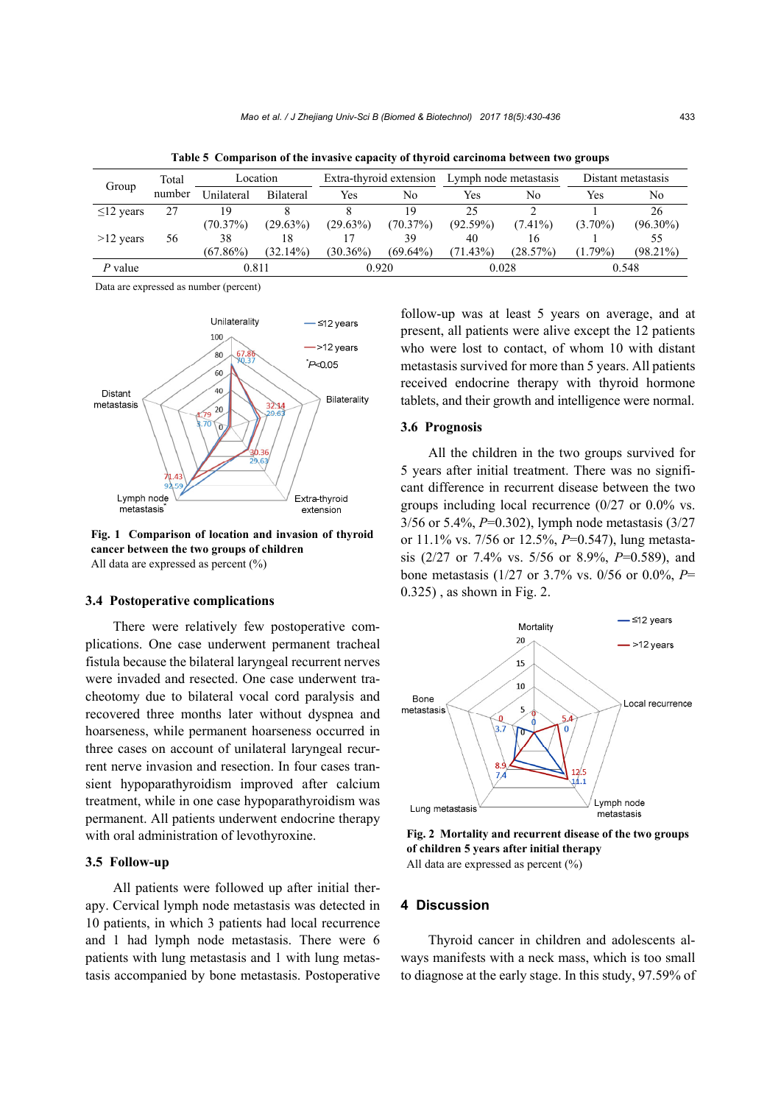| Group           | Total  | Location    |                  | Extra-thyroid extension Lymph node metastasis |             |             |            | Distant metastasis |             |
|-----------------|--------|-------------|------------------|-----------------------------------------------|-------------|-------------|------------|--------------------|-------------|
|                 | number | Unilateral  | <b>Bilateral</b> | Yes                                           | No          | Yes         | No         | Yes                | No          |
| $\leq$ 12 years | 27     | 19          |                  |                                               | 19          | 25          |            |                    | 26          |
|                 |        | (70.37%)    | $(29.63\%)$      | $(29.63\%)$                                   | (70.37%)    | (92.59%)    | $(7.41\%)$ | $(3.70\%)$         | $(96.30\%)$ |
| $>12$ years     | 56     | 38          | 18               |                                               | 39          | 40          | 16         |                    | 55          |
|                 |        | $(67.86\%)$ | $(32.14\%)$      | $(30.36\%)$                                   | $(69.64\%)$ | $(71.43\%)$ | (28.57%)   | $(1.79\%)$         | $(98.21\%)$ |
| $P$ value       |        | 0.811       |                  | 0.920                                         |             | 0.028       |            | 0.548              |             |

**Table 5 Comparison of the invasive capacity of thyroid carcinoma between two groups** 

Data are expressed as number (percent)



**Fig. 1 Comparison of location and invasion of thyroid cancer between the two groups of children**  All data are expressed as percent (%)

# **3.4 Postoperative complications**

There were relatively few postoperative complications. One case underwent permanent tracheal fistula because the bilateral laryngeal recurrent nerves were invaded and resected. One case underwent tracheotomy due to bilateral vocal cord paralysis and recovered three months later without dyspnea and hoarseness, while permanent hoarseness occurred in three cases on account of unilateral laryngeal recurrent nerve invasion and resection. In four cases transient hypoparathyroidism improved after calcium treatment, while in one case hypoparathyroidism was permanent. All patients underwent endocrine therapy with oral administration of levothyroxine.

# **3.5 Follow-up**

All patients were followed up after initial therapy. Cervical lymph node metastasis was detected in 10 patients, in which 3 patients had local recurrence and 1 had lymph node metastasis. There were 6 patients with lung metastasis and 1 with lung metastasis accompanied by bone metastasis. Postoperative follow-up was at least 5 years on average, and at present, all patients were alive except the 12 patients who were lost to contact, of whom 10 with distant metastasis survived for more than 5 years. All patients received endocrine therapy with thyroid hormone tablets, and their growth and intelligence were normal.

## **3.6 Prognosis**

All the children in the two groups survived for 5 years after initial treatment. There was no significant difference in recurrent disease between the two groups including local recurrence (0/27 or 0.0% vs. 3/56 or 5.4%, *P*=0.302), lymph node metastasis (3/27 or 11.1% vs. 7/56 or 12.5%, *P*=0.547), lung metastasis (2/27 or 7.4% vs. 5/56 or 8.9%, *P*=0.589), and bone metastasis (1/27 or 3.7% vs. 0/56 or 0.0%, *P*= 0.325) , as shown in Fig. 2.



**Fig. 2 Mortality and recurrent disease of the two groups of children 5 years after initial therapy**  All data are expressed as percent  $(\% )$ 

#### **4 Discussion**

Thyroid cancer in children and adolescents always manifests with a neck mass, which is too small to diagnose at the early stage. In this study, 97.59% of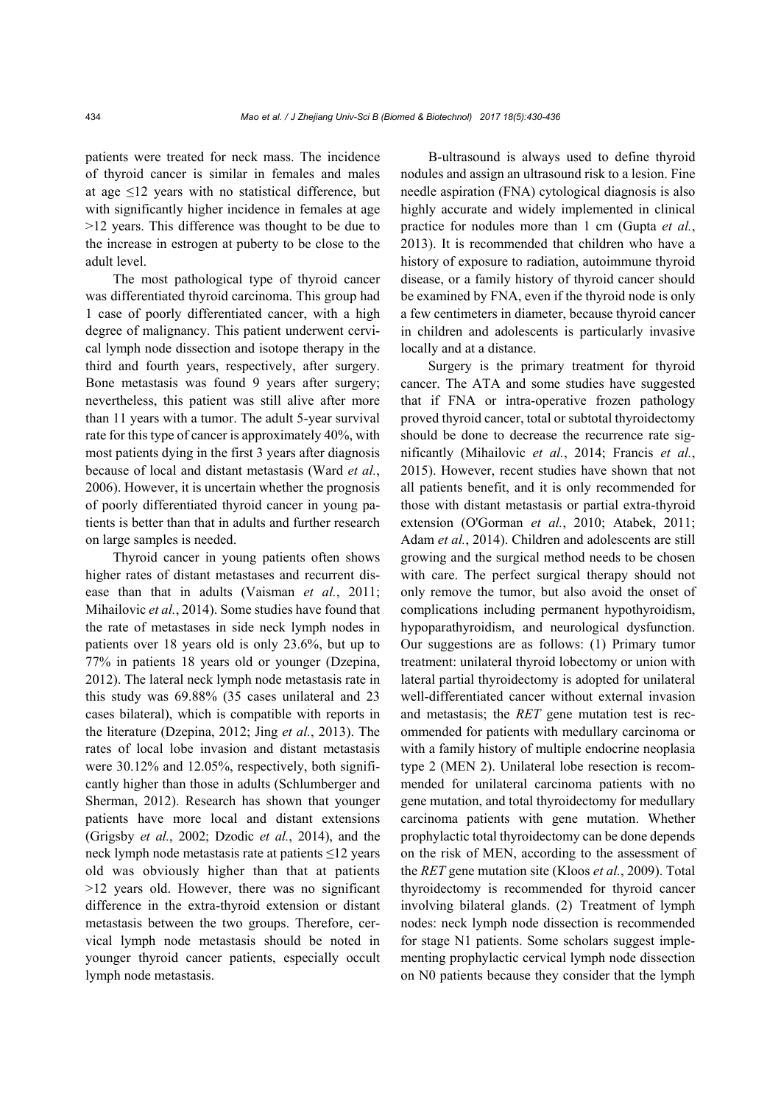patients were treated for neck mass. The incidence of thyroid cancer is similar in females and males at age  $\leq$ 12 years with no statistical difference, but with significantly higher incidence in females at age >12 years. This difference was thought to be due to the increase in estrogen at puberty to be close to the adult level.

The most pathological type of thyroid cancer was differentiated thyroid carcinoma. This group had 1 case of poorly differentiated cancer, with a high degree of malignancy. This patient underwent cervical lymph node dissection and isotope therapy in the third and fourth years, respectively, after surgery. Bone metastasis was found 9 years after surgery; nevertheless, this patient was still alive after more than 11 years with a tumor. The adult 5-year survival rate for this type of cancer is approximately 40%, with most patients dying in the first 3 years after diagnosis because of local and distant metastasis (Ward *et al.*, 2006). However, it is uncertain whether the prognosis of poorly differentiated thyroid cancer in young patients is better than that in adults and further research on large samples is needed.

Thyroid cancer in young patients often shows higher rates of distant metastases and recurrent disease than that in adults (Vaisman *et al.*, 2011; Mihailovic *et al.*, 2014). Some studies have found that the rate of metastases in side neck lymph nodes in patients over 18 years old is only 23.6%, but up to 77% in patients 18 years old or younger (Dzepina, 2012). The lateral neck lymph node metastasis rate in this study was 69.88% (35 cases unilateral and 23 cases bilateral), which is compatible with reports in the literature (Dzepina, 2012; Jing *et al.*, 2013). The rates of local lobe invasion and distant metastasis were 30.12% and 12.05%, respectively, both significantly higher than those in adults (Schlumberger and Sherman, 2012). Research has shown that younger patients have more local and distant extensions (Grigsby *et al.*, 2002; Dzodic *et al.*, 2014), and the neck lymph node metastasis rate at patients ≤12 years old was obviously higher than that at patients >12 years old. However, there was no significant difference in the extra-thyroid extension or distant metastasis between the two groups. Therefore, cervical lymph node metastasis should be noted in younger thyroid cancer patients, especially occult lymph node metastasis.

B-ultrasound is always used to define thyroid nodules and assign an ultrasound risk to a lesion. Fine needle aspiration (FNA) cytological diagnosis is also highly accurate and widely implemented in clinical practice for nodules more than 1 cm (Gupta *et al.*, 2013). It is recommended that children who have a history of exposure to radiation, autoimmune thyroid disease, or a family history of thyroid cancer should be examined by FNA, even if the thyroid node is only a few centimeters in diameter, because thyroid cancer in children and adolescents is particularly invasive locally and at a distance.

Surgery is the primary treatment for thyroid cancer. The ATA and some studies have suggested that if FNA or intra-operative frozen pathology proved thyroid cancer, total or subtotal thyroidectomy should be done to decrease the recurrence rate significantly (Mihailovic *et al.*, 2014; Francis *et al.*, 2015). However, recent studies have shown that not all patients benefit, and it is only recommended for those with distant metastasis or partial extra-thyroid extension (O'Gorman *et al.*, 2010; Atabek, 2011; Adam *et al.*, 2014). Children and adolescents are still growing and the surgical method needs to be chosen with care. The perfect surgical therapy should not only remove the tumor, but also avoid the onset of complications including permanent hypothyroidism, hypoparathyroidism, and neurological dysfunction. Our suggestions are as follows: (1) Primary tumor treatment: unilateral thyroid lobectomy or union with lateral partial thyroidectomy is adopted for unilateral well-differentiated cancer without external invasion and metastasis; the *RET* gene mutation test is recommended for patients with medullary carcinoma or with a family history of multiple endocrine neoplasia type 2 (MEN 2). Unilateral lobe resection is recommended for unilateral carcinoma patients with no gene mutation, and total thyroidectomy for medullary carcinoma patients with gene mutation. Whether prophylactic total thyroidectomy can be done depends on the risk of MEN, according to the assessment of the *RET* gene mutation site (Kloos *et al.*, 2009). Total thyroidectomy is recommended for thyroid cancer involving bilateral glands. (2) Treatment of lymph nodes: neck lymph node dissection is recommended for stage N1 patients. Some scholars suggest implementing prophylactic cervical lymph node dissection on N0 patients because they consider that the lymph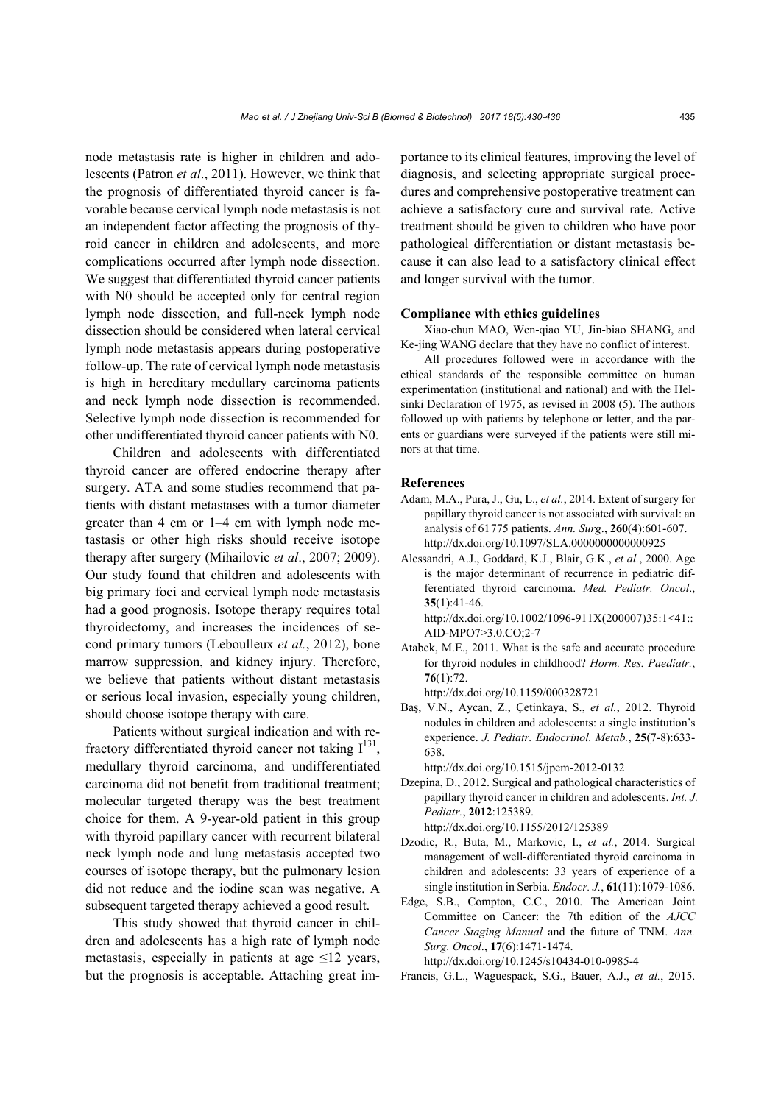node metastasis rate is higher in children and adolescents (Patron *et al*., 2011). However, we think that the prognosis of differentiated thyroid cancer is favorable because cervical lymph node metastasis is not an independent factor affecting the prognosis of thyroid cancer in children and adolescents, and more complications occurred after lymph node dissection. We suggest that differentiated thyroid cancer patients with N0 should be accepted only for central region lymph node dissection, and full-neck lymph node dissection should be considered when lateral cervical lymph node metastasis appears during postoperative follow-up. The rate of cervical lymph node metastasis is high in hereditary medullary carcinoma patients and neck lymph node dissection is recommended. Selective lymph node dissection is recommended for other undifferentiated thyroid cancer patients with N0.

Children and adolescents with differentiated thyroid cancer are offered endocrine therapy after surgery. ATA and some studies recommend that patients with distant metastases with a tumor diameter greater than 4 cm or 1–4 cm with lymph node metastasis or other high risks should receive isotope therapy after surgery (Mihailovic *et al*., 2007; 2009). Our study found that children and adolescents with big primary foci and cervical lymph node metastasis had a good prognosis. Isotope therapy requires total thyroidectomy, and increases the incidences of second primary tumors (Leboulleux *et al.*, 2012), bone marrow suppression, and kidney injury. Therefore, we believe that patients without distant metastasis or serious local invasion, especially young children, should choose isotope therapy with care.

Patients without surgical indication and with refractory differentiated thyroid cancer not taking  $I^{131}$ , medullary thyroid carcinoma, and undifferentiated carcinoma did not benefit from traditional treatment; molecular targeted therapy was the best treatment choice for them. A 9-year-old patient in this group with thyroid papillary cancer with recurrent bilateral neck lymph node and lung metastasis accepted two courses of isotope therapy, but the pulmonary lesion did not reduce and the iodine scan was negative. A subsequent targeted therapy achieved a good result.

This study showed that thyroid cancer in children and adolescents has a high rate of lymph node metastasis, especially in patients at age  $\leq$ 12 years, but the prognosis is acceptable. Attaching great importance to its clinical features, improving the level of diagnosis, and selecting appropriate surgical procedures and comprehensive postoperative treatment can achieve a satisfactory cure and survival rate. Active treatment should be given to children who have poor pathological differentiation or distant metastasis because it can also lead to a satisfactory clinical effect and longer survival with the tumor.

#### **Compliance with ethics guidelines**

Xiao-chun MAO, Wen-qiao YU, Jin-biao SHANG, and Ke-jing WANG declare that they have no conflict of interest.

All procedures followed were in accordance with the ethical standards of the responsible committee on human experimentation (institutional and national) and with the Helsinki Declaration of 1975, as revised in 2008 (5). The authors followed up with patients by telephone or letter, and the parents or guardians were surveyed if the patients were still minors at that time.

## **References**

- Adam, M.A., Pura, J., Gu, L., *et al.*, 2014. Extent of surgery for papillary thyroid cancer is not associated with survival: an analysis of 61775 patients. *Ann. Surg*., **260**(4):601-607. http://dx.doi.org/10.1097/SLA.0000000000000925
- Alessandri, A.J., Goddard, K.J., Blair, G.K., *et al.*, 2000. Age is the major determinant of recurrence in pediatric differentiated thyroid carcinoma. *Med. Pediatr. Oncol*., **35**(1):41-46.

http://dx.doi.org/10.1002/1096-911X(200007)35:1<41:: AID-MPO7>3.0.CO;2-7

Atabek, M.E., 2011. What is the safe and accurate procedure for thyroid nodules in childhood? *Horm. Res. Paediatr.*, **76**(1):72.

http://dx.doi.org/10.1159/000328721

Baş, V.N., Aycan, Z., Çetinkaya, S., *et al.*, 2012. Thyroid nodules in children and adolescents: a single institution's experience. *J. Pediatr. Endocrinol. Metab.*, **25**(7-8):633- 638.

http://dx.doi.org/10.1515/jpem-2012-0132

- Dzepina, D., 2012. Surgical and pathological characteristics of papillary thyroid cancer in children and adolescents. *Int. J. Pediatr.*, **2012**:125389. http://dx.doi.org/10.1155/2012/125389
- Dzodic, R., Buta, M., Markovic, I., *et al.*, 2014. Surgical management of well-differentiated thyroid carcinoma in children and adolescents: 33 years of experience of a single institution in Serbia. *Endocr. J.*, **61**(11):1079-1086.
- Edge, S.B., Compton, C.C., 2010. The American Joint Committee on Cancer: the 7th edition of the *AJCC Cancer Staging Manual* and the future of TNM. *Ann. Surg. Oncol*., **17**(6):1471-1474. http://dx.doi.org/10.1245/s10434-010-0985-4
- Francis, G.L., Waguespack, S.G., Bauer, A.J., *et al.*, 2015.